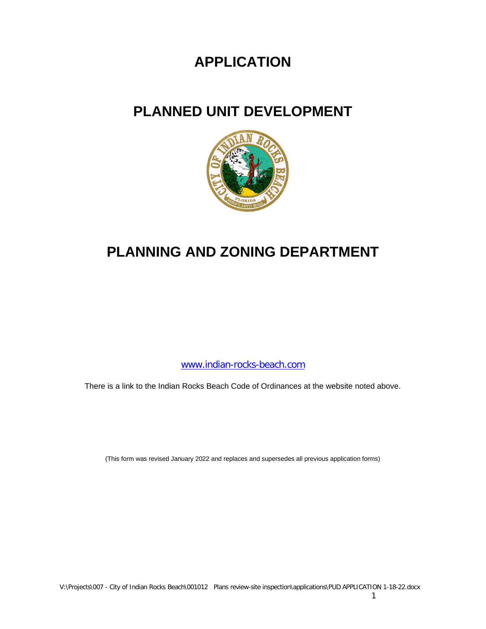## **APPLICATION**

## **PLANNED UNIT DEVELOPMENT**



# **PLANNING AND ZONING DEPARTMENT**

[www.indian-rocks-beach.com](http://www.indian-rocks-beach.com/)

There is a link to the Indian Rocks Beach Code of Ordinances at the website noted above.

(This form was revised January 2022 and replaces and supersedes all previous application forms)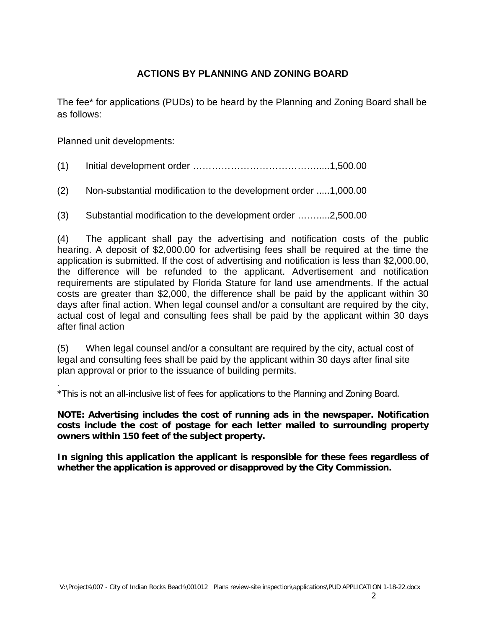## **ACTIONS BY PLANNING AND ZONING BOARD**

The fee\* for applications (PUDs) to be heard by the Planning and Zoning Board shall be as follows:

Planned unit developments:

- (1) Initial development order ………………………………….....1,500.00
- (2) Non-substantial modification to the development order .....1,000.00
- (3) Substantial modification to the development order …….....2,500.00

(4) The applicant shall pay the advertising and notification costs of the public hearing. A deposit of \$2,000.00 for advertising fees shall be required at the time the application is submitted. If the cost of advertising and notification is less than \$2,000.00, the difference will be refunded to the applicant. Advertisement and notification requirements are stipulated by Florida Stature for land use amendments. If the actual costs are greater than \$2,000, the difference shall be paid by the applicant within 30 days after final action. When legal counsel and/or a consultant are required by the city, actual cost of legal and consulting fees shall be paid by the applicant within 30 days after final action

(5) When legal counsel and/or a consultant are required by the city, actual cost of legal and consulting fees shall be paid by the applicant within 30 days after final site plan approval or prior to the issuance of building permits.

. \*This is not an all-inclusive list of fees for applications to the Planning and Zoning Board.

**NOTE: Advertising includes the cost of running ads in the newspaper. Notification costs include the cost of postage for each letter mailed to surrounding property owners within 150 feet of the subject property.**

**In signing this application the applicant is responsible for these fees regardless of whether the application is approved or disapproved by the City Commission.**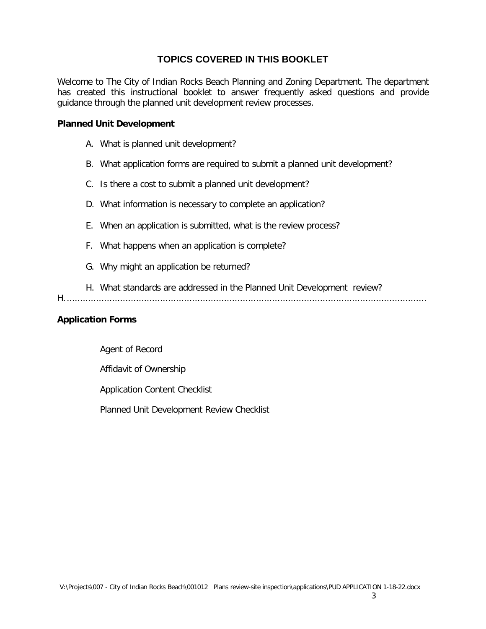## **TOPICS COVERED IN THIS BOOKLET**

Welcome to The City of Indian Rocks Beach Planning and Zoning Department. The department has created this instructional booklet to answer frequently asked questions and provide guidance through the planned unit development review processes.

#### **Planned Unit Development**

- A. What is planned unit development?
- B. What application forms are required to submit a planned unit development?
- C. Is there a cost to submit a planned unit development?
- D. What information is necessary to complete an application?
- E. When an application is submitted, what is the review process?
- F. What happens when an application is complete?
- G. Why might an application be returned?
- H. What standards are addressed in the Planned Unit Development review?

H........................................................................................................................................

#### **Application Forms**

Agent of Record

Affidavit of Ownership

Application Content Checklist

Planned Unit Development Review Checklist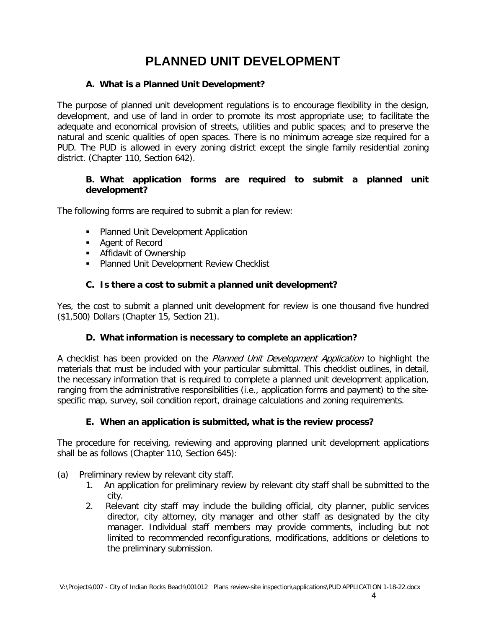## **PLANNED UNIT DEVELOPMENT**

#### **A. What is a Planned Unit Development?**

The purpose of planned unit development regulations is to encourage flexibility in the design, development, and use of land in order to promote its most appropriate use; to facilitate the adequate and economical provision of streets, utilities and public spaces; and to preserve the natural and scenic qualities of open spaces. There is no minimum acreage size required for a PUD. The PUD is allowed in every zoning district except the single family residential zoning district. (Chapter 110, Section 642).

#### **B. What application forms are required to submit a planned unit development?**

The following forms are required to submit a plan for review:

- **Planned Unit Development Application**
- Agent of Record
- **Affidavit of Ownership**
- **Planned Unit Development Review Checklist**

#### **C. Is there a cost to submit a planned unit development?**

Yes, the cost to submit a planned unit development for review is one thousand five hundred (\$1,500) Dollars (Chapter 15, Section 21).

## **D. What information is necessary to complete an application?**

A checklist has been provided on the *Planned Unit Development Application* to highlight the materials that must be included with your particular submittal. This checklist outlines, in detail, the necessary information that is required to complete a planned unit development application, ranging from the administrative responsibilities (i.e., application forms and payment) to the sitespecific map, survey, soil condition report, drainage calculations and zoning requirements.

## **E. When an application is submitted, what is the review process?**

The procedure for receiving, reviewing and approving planned unit development applications shall be as follows (Chapter 110, Section 645):

- (a) Preliminary review by relevant city staff.
	- 1. An application for preliminary review by relevant city staff shall be submitted to the city.
	- 2. Relevant city staff may include the building official, city planner, public services director, city attorney, city manager and other staff as designated by the city manager. Individual staff members may provide comments, including but not limited to recommended reconfigurations, modifications, additions or deletions to the preliminary submission.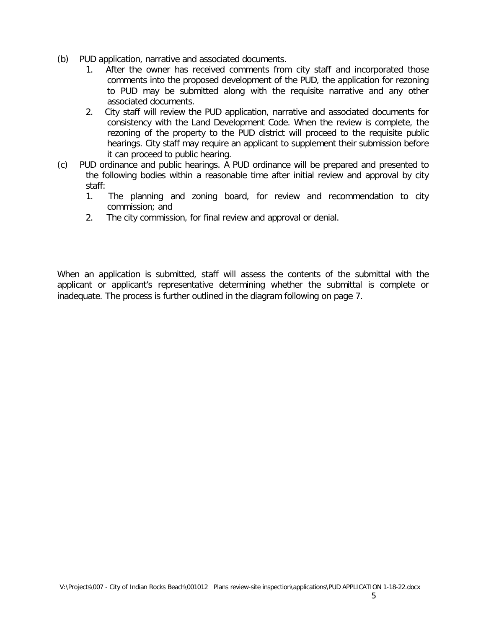- (b) PUD application, narrative and associated documents.
	- 1. After the owner has received comments from city staff and incorporated those comments into the proposed development of the PUD, the application for rezoning to PUD may be submitted along with the requisite narrative and any other associated documents.
	- 2. City staff will review the PUD application, narrative and associated documents for consistency with the Land Development Code. When the review is complete, the rezoning of the property to the PUD district will proceed to the requisite public hearings. City staff may require an applicant to supplement their submission before it can proceed to public hearing.
- (c) PUD ordinance and public hearings. A PUD ordinance will be prepared and presented to the following bodies within a reasonable time after initial review and approval by city staff:
	- 1. The planning and zoning board, for review and recommendation to city commission; and
	- 2. The city commission, for final review and approval or denial.

When an application is submitted, staff will assess the contents of the submittal with the applicant or applicant's representative determining whether the submittal is complete or inadequate. The process is further outlined in the diagram following on page 7.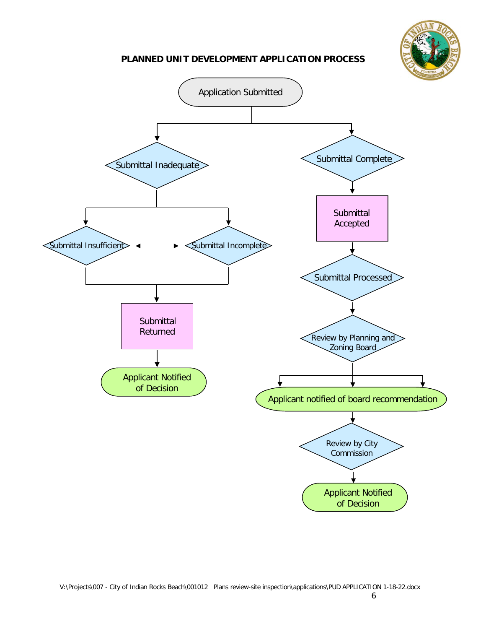

#### **PLANNED UNIT DEVELOPMENT APPLICATION PROCESS**

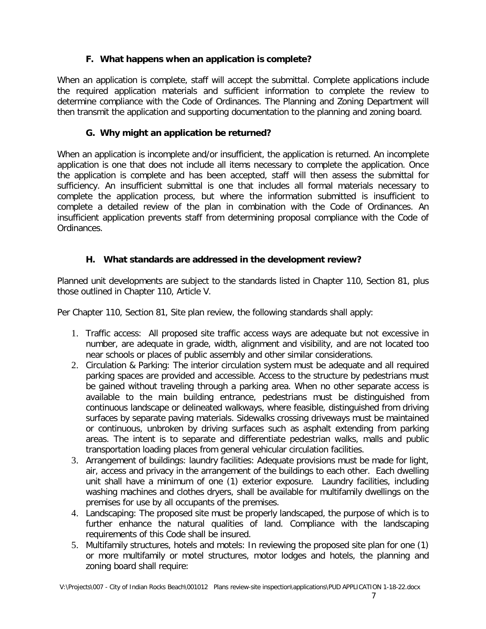## **F. What happens when an application is complete?**

When an application is complete, staff will accept the submittal. Complete applications include the required application materials and sufficient information to complete the review to determine compliance with the Code of Ordinances. The Planning and Zoning Department will then transmit the application and supporting documentation to the planning and zoning board.

## **G. Why might an application be returned?**

When an application is incomplete and/or insufficient, the application is returned. An incomplete application is one that does not include all items necessary to complete the application. Once the application is complete and has been accepted, staff will then assess the submittal for sufficiency. An insufficient submittal is one that includes all formal materials necessary to complete the application process, but where the information submitted is insufficient to complete a detailed review of the plan in combination with the Code of Ordinances. An insufficient application prevents staff from determining proposal compliance with the Code of Ordinances.

## **H. What standards are addressed in the development review?**

Planned unit developments are subject to the standards listed in Chapter 110, Section 81, plus those outlined in Chapter 110, Article V.

Per Chapter 110, Section 81, Site plan review, the following standards shall apply:

- 1. Traffic access: All proposed site traffic access ways are adequate but not excessive in number, are adequate in grade, width, alignment and visibility, and are not located too near schools or places of public assembly and other similar considerations.
- 2. Circulation & Parking: The interior circulation system must be adequate and all required parking spaces are provided and accessible. Access to the structure by pedestrians must be gained without traveling through a parking area. When no other separate access is available to the main building entrance, pedestrians must be distinguished from continuous landscape or delineated walkways, where feasible, distinguished from driving surfaces by separate paving materials. Sidewalks crossing driveways must be maintained or continuous, unbroken by driving surfaces such as asphalt extending from parking areas. The intent is to separate and differentiate pedestrian walks, malls and public transportation loading places from general vehicular circulation facilities.
- 3. Arrangement of buildings: laundry facilities: Adequate provisions must be made for light, air, access and privacy in the arrangement of the buildings to each other. Each dwelling unit shall have a minimum of one (1) exterior exposure. Laundry facilities, including washing machines and clothes dryers, shall be available for multifamily dwellings on the premises for use by all occupants of the premises.
- 4. Landscaping: The proposed site must be properly landscaped, the purpose of which is to further enhance the natural qualities of land. Compliance with the landscaping requirements of this Code shall be insured.
- 5. Multifamily structures, hotels and motels: In reviewing the proposed site plan for one (1) or more multifamily or motel structures, motor lodges and hotels, the planning and zoning board shall require: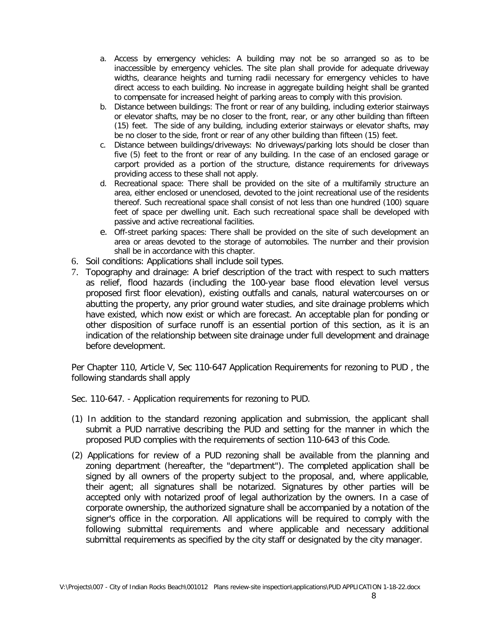- a. Access by emergency vehicles: A building may not be so arranged so as to be inaccessible by emergency vehicles. The site plan shall provide for adequate driveway widths, clearance heights and turning radii necessary for emergency vehicles to have direct access to each building. No increase in aggregate building height shall be granted to compensate for increased height of parking areas to comply with this provision.
- b. Distance between buildings: The front or rear of any building, including exterior stairways or elevator shafts, may be no closer to the front, rear, or any other building than fifteen (15) feet. The side of any building, including exterior stairways or elevator shafts, may be no closer to the side, front or rear of any other building than fifteen (15) feet.
- c. Distance between buildings/driveways: No driveways/parking lots should be closer than five (5) feet to the front or rear of any building. In the case of an enclosed garage or carport provided as a portion of the structure, distance requirements for driveways providing access to these shall not apply.
- d. Recreational space: There shall be provided on the site of a multifamily structure an area, either enclosed or unenclosed, devoted to the joint recreational use of the residents thereof. Such recreational space shall consist of not less than one hundred (100) square feet of space per dwelling unit. Each such recreational space shall be developed with passive and active recreational facilities.
- e. Off-street parking spaces: There shall be provided on the site of such development an area or areas devoted to the storage of automobiles. The number and their provision shall be in accordance with this chapter.
- 6. Soil conditions: Applications shall include soil types.
- 7. Topography and drainage: A brief description of the tract with respect to such matters as relief, flood hazards (including the 100-year base flood elevation level versus proposed first floor elevation), existing outfalls and canals, natural watercourses on or abutting the property, any prior ground water studies, and site drainage problems which have existed, which now exist or which are forecast. An acceptable plan for ponding or other disposition of surface runoff is an essential portion of this section, as it is an indication of the relationship between site drainage under full development and drainage before development.

Per Chapter 110, Article V, Sec 110-647 Application Requirements for rezoning to PUD , the following standards shall apply

Sec. 110-647. - Application requirements for rezoning to PUD.

- (1) In addition to the standard rezoning application and submission, the applicant shall submit a PUD narrative describing the PUD and setting for the manner in which the proposed PUD complies with the requirements of section 110-643 of this Code.
- (2) Applications for review of a PUD rezoning shall be available from the planning and zoning department (hereafter, the "department"). The completed application shall be signed by all owners of the property subject to the proposal, and, where applicable, their agent; all signatures shall be notarized. Signatures by other parties will be accepted only with notarized proof of legal authorization by the owners. In a case of corporate ownership, the authorized signature shall be accompanied by a notation of the signer's office in the corporation. All applications will be required to comply with the following submittal requirements and where applicable and necessary additional submittal requirements as specified by the city staff or designated by the city manager.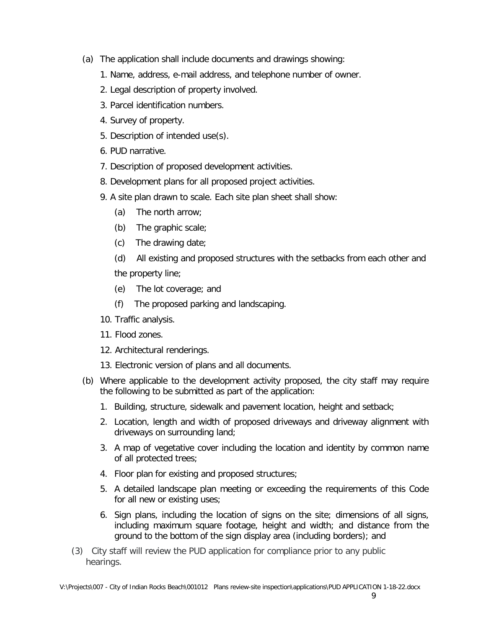- (a) The application shall include documents and drawings showing:
	- 1. Name, address, e-mail address, and telephone number of owner.
	- 2. Legal description of property involved.
	- 3. Parcel identification numbers.
	- 4. Survey of property.
	- 5. Description of intended use(s).
	- 6. PUD narrative.
	- 7. Description of proposed development activities.
	- 8. Development plans for all proposed project activities.
	- 9. A site plan drawn to scale. Each site plan sheet shall show:
		- (a) The north arrow;
		- (b) The graphic scale;
		- (c) The drawing date;
		- (d) All existing and proposed structures with the setbacks from each other and the property line;
		- (e) The lot coverage; and
		- (f) The proposed parking and landscaping.
	- 10. Traffic analysis.
	- 11. Flood zones.
	- 12. Architectural renderings.
	- 13. Electronic version of plans and all documents.
- (b) Where applicable to the development activity proposed, the city staff may require the following to be submitted as part of the application:
	- 1. Building, structure, sidewalk and pavement location, height and setback;
	- 2. Location, length and width of proposed driveways and driveway alignment with driveways on surrounding land;
	- 3. A map of vegetative cover including the location and identity by common name of all protected trees;
	- 4. Floor plan for existing and proposed structures;
	- 5. A detailed landscape plan meeting or exceeding the requirements of this Code for all new or existing uses;
	- 6. Sign plans, including the location of signs on the site; dimensions of all signs, including maximum square footage, height and width; and distance from the ground to the bottom of the sign display area (including borders); and
- (3) City staff will review the PUD application for compliance prior to any public hearings.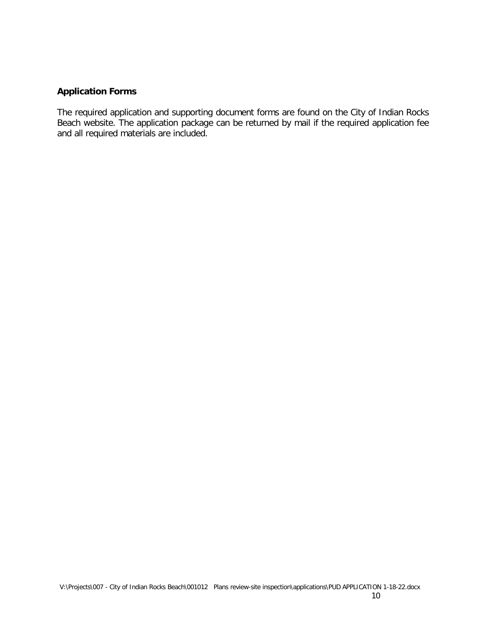### **Application Forms**

The required application and supporting document forms are found on the City of Indian Rocks Beach website. The application package can be returned by mail if the required application fee and all required materials are included.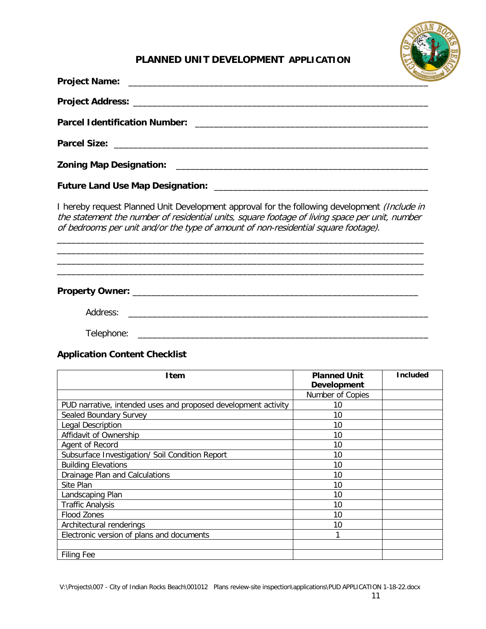

## **PLANNED UNIT DEVELOPMENT APPLICATION**

| <b>Project Name:</b>                                                                                                                                                                                                                                                                 |                                           |                 |
|--------------------------------------------------------------------------------------------------------------------------------------------------------------------------------------------------------------------------------------------------------------------------------------|-------------------------------------------|-----------------|
|                                                                                                                                                                                                                                                                                      |                                           |                 |
|                                                                                                                                                                                                                                                                                      |                                           |                 |
| <b>Parcel Size:</b><br><u> 1980 - Johann Stoff, Amerikaansk politiker (* 1908)</u>                                                                                                                                                                                                   |                                           |                 |
| <b>Zoning Map Designation:</b>                                                                                                                                                                                                                                                       |                                           |                 |
|                                                                                                                                                                                                                                                                                      |                                           |                 |
| I hereby request Planned Unit Development approval for the following development (Include in<br>the statement the number of residential units, square footage of living space per unit, number<br>of bedrooms per unit and/or the type of amount of non-residential square footage). |                                           |                 |
|                                                                                                                                                                                                                                                                                      |                                           |                 |
|                                                                                                                                                                                                                                                                                      |                                           |                 |
|                                                                                                                                                                                                                                                                                      |                                           |                 |
| <b>Application Content Checklist</b>                                                                                                                                                                                                                                                 |                                           |                 |
| <b>Item</b>                                                                                                                                                                                                                                                                          | <b>Planned Unit</b><br><b>Development</b> | <b>Included</b> |
|                                                                                                                                                                                                                                                                                      | Number of Copies                          |                 |
| PUD narrative, intended uses and proposed development activity                                                                                                                                                                                                                       | 10                                        |                 |
| Sealed Boundary Survey                                                                                                                                                                                                                                                               | 10                                        |                 |
| Legal Description<br>Affidavit of Ownership                                                                                                                                                                                                                                          | 10<br>10                                  |                 |
| Agent of Record                                                                                                                                                                                                                                                                      | $10\,$                                    |                 |
| Subsurface Investigation/ Soil Condition Report                                                                                                                                                                                                                                      | 10                                        |                 |
| <b>Building Elevations</b>                                                                                                                                                                                                                                                           | 10                                        |                 |

V:\Projects\007 - City of Indian Rocks Beach\001012 Plans review-site inspection\applications\PUD APPLICATION 1-18-22.docx

Drainage Plan and Calculations 10<br>Site Plan 10 Site Plan 10<br>
Landscaping Plan 10<br>
10 Landscaping Plan 10<br>
Traffic Analysis 10 Traffic Analysis 10<br>
Flood Zones 10<br>
10

Architectural renderings 10 Electronic version of plans and documents 1

Flood Zones

Filing Fee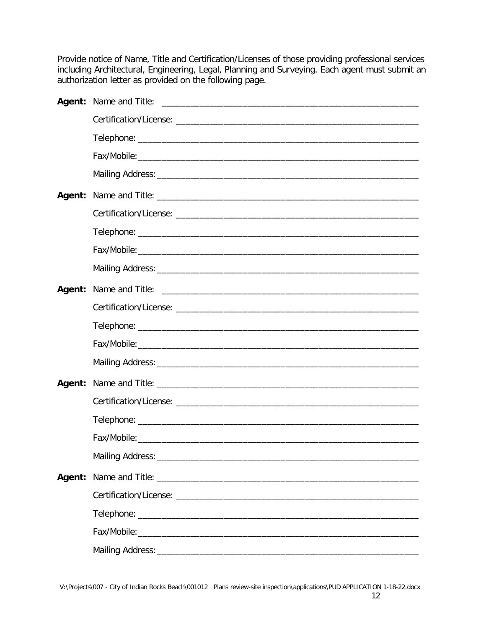Provide notice of Name, Title and Certification/Licenses of those providing professional services including Architectural, Engineering, Legal, Planning and Surveying. Each agent must submit an authorization letter as provided on the following page.

| <b>Agent:</b> |  |
|---------------|--|
|               |  |
|               |  |
|               |  |
|               |  |
|               |  |
|               |  |
|               |  |
|               |  |
|               |  |
|               |  |
|               |  |
|               |  |
|               |  |
|               |  |
|               |  |
|               |  |
|               |  |
|               |  |
|               |  |
|               |  |
|               |  |
|               |  |
|               |  |
|               |  |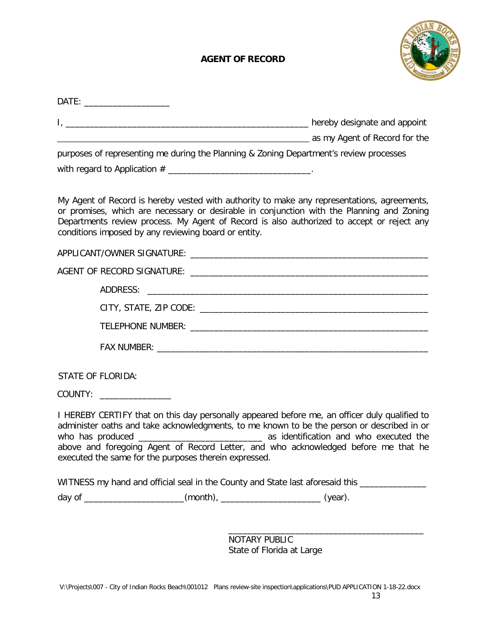## **AGENT OF RECORD**



| DATE: _______________________                                     |                                                                                                                                                                                                                                                                                       |  |
|-------------------------------------------------------------------|---------------------------------------------------------------------------------------------------------------------------------------------------------------------------------------------------------------------------------------------------------------------------------------|--|
|                                                                   |                                                                                                                                                                                                                                                                                       |  |
|                                                                   | as my Agent of Record for the comparison of the same and a series of the same and a series of the same and a s                                                                                                                                                                        |  |
|                                                                   | purposes of representing me during the Planning & Zoning Department's review processes                                                                                                                                                                                                |  |
| with regard to Application $#$ _________________________________. |                                                                                                                                                                                                                                                                                       |  |
| conditions imposed by any reviewing board or entity.              | My Agent of Record is hereby vested with authority to make any representations, agreements,<br>or promises, which are necessary or desirable in conjunction with the Planning and Zoning<br>Departments review process. My Agent of Record is also authorized to accept or reject any |  |
|                                                                   |                                                                                                                                                                                                                                                                                       |  |
|                                                                   |                                                                                                                                                                                                                                                                                       |  |
|                                                                   |                                                                                                                                                                                                                                                                                       |  |
|                                                                   |                                                                                                                                                                                                                                                                                       |  |
|                                                                   |                                                                                                                                                                                                                                                                                       |  |
|                                                                   |                                                                                                                                                                                                                                                                                       |  |
| <b>STATE OF FLORIDA:</b>                                          |                                                                                                                                                                                                                                                                                       |  |
| COUNTY: _________________                                         |                                                                                                                                                                                                                                                                                       |  |
| executed the same for the purposes therein expressed.             | I HEREBY CERTIFY that on this day personally appeared before me, an officer duly qualified to<br>administer oaths and take acknowledgments, to me known to be the person or described in or<br>above and foregoing Agent of Record Letter, and who acknowledged before me that he     |  |
|                                                                   | WITNESS my hand and official seal in the County and State last aforesaid this _______________                                                                                                                                                                                         |  |
|                                                                   | day of ________________________(month), __________________________(year).                                                                                                                                                                                                             |  |
|                                                                   |                                                                                                                                                                                                                                                                                       |  |
|                                                                   |                                                                                                                                                                                                                                                                                       |  |

NOTARY PUBLIC State of Florida at Large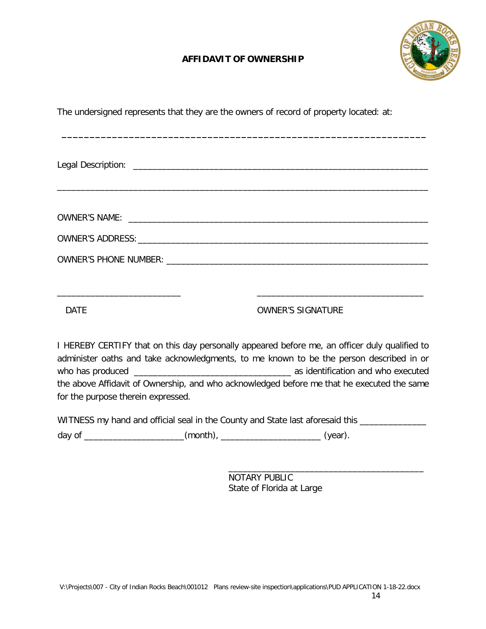## **AFFIDAVIT OF OWNERSHIP**

**\_\_\_\_\_\_\_\_\_\_\_\_\_\_\_\_\_\_\_\_\_\_\_\_\_\_\_\_\_\_\_\_\_\_\_\_\_\_\_\_\_\_\_\_\_\_\_\_\_\_\_\_\_\_\_\_\_\_\_\_\_\_\_\_\_**



The undersigned represents that they are the owners of record of property located: at:

\_\_\_\_\_\_\_\_\_\_\_\_\_\_\_\_\_\_\_\_\_\_\_\_\_\_ \_\_\_\_\_\_\_\_\_\_\_\_\_\_\_\_\_\_\_\_\_\_\_\_\_\_\_\_\_\_\_\_\_\_\_

#### DATE DATE OWNER'S SIGNATURE

I HEREBY CERTIFY that on this day personally appeared before me, an officer duly qualified to administer oaths and take acknowledgments, to me known to be the person described in or who has produced \_\_\_\_\_\_\_\_\_\_\_\_\_\_\_\_\_\_\_\_\_\_\_\_\_\_\_\_\_\_\_\_\_ as identification and who executed the above Affidavit of Ownership, and who acknowledged before me that he executed the same for the purpose therein expressed.

WITNESS my hand and official seal in the County and State last aforesaid this \_\_\_\_\_\_\_\_\_\_\_\_\_\_\_

day of \_\_\_\_\_\_\_\_\_\_\_\_\_\_\_\_\_\_\_\_\_\_\_(month), \_\_\_\_\_\_\_\_\_\_\_\_\_\_\_\_\_\_\_\_\_\_\_\_\_\_\_(year).

\_\_\_\_\_\_\_\_\_\_\_\_\_\_\_\_\_\_\_\_\_\_\_\_\_\_\_\_\_\_\_\_\_\_\_\_\_\_\_\_\_ NOTARY PUBLIC State of Florida at Large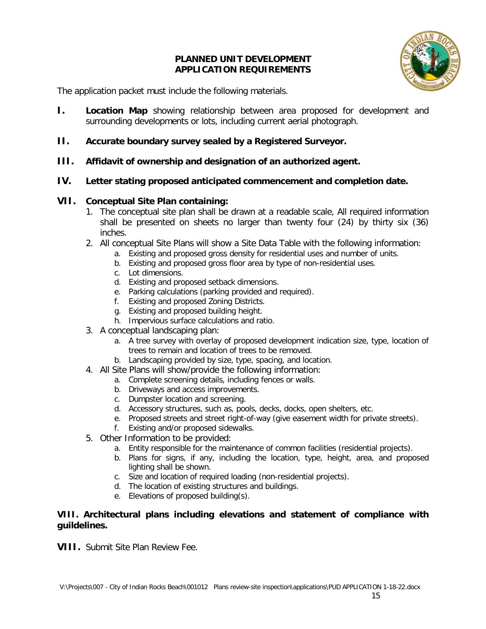#### **PLANNED UNIT DEVELOPMENT APPLICATION REQUIREMENTS**



The application packet must include the following materials.

- **I. Location Map** showing relationship between area proposed for development and surrounding developments or lots, including current aerial photograph.
- **II. Accurate boundary survey sealed by a Registered Surveyor.**
- **III. Affidavit of ownership and designation of an authorized agent.**
- **IV. Letter stating proposed anticipated commencement and completion date.**

#### **VII. Conceptual Site Plan containing:**

- 1. The conceptual site plan shall be drawn at a readable scale, All required information shall be presented on sheets no larger than twenty four (24) by thirty six (36) inches.
- 2. All conceptual Site Plans will show a Site Data Table with the following information:
	- a. Existing and proposed gross density for residential uses and number of units.
	- b. Existing and proposed gross floor area by type of non-residential uses.
	- c. Lot dimensions.
	- d. Existing and proposed setback dimensions.
	- e. Parking calculations (parking provided and required).
	- f. Existing and proposed Zoning Districts.
	- g. Existing and proposed building height.
	- h. Impervious surface calculations and ratio.
- 3. A conceptual landscaping plan:
	- a. A tree survey with overlay of proposed development indication size, type, location of trees to remain and location of trees to be removed.
	- b. Landscaping provided by size, type, spacing, and location.
- 4. All Site Plans will show/provide the following information:
	- a. Complete screening details, including fences or walls.
	- b. Driveways and access improvements.
	- c. Dumpster location and screening.
	- d. Accessory structures, such as, pools, decks, docks, open shelters, etc.
	- e. Proposed streets and street right-of-way (give easement width for private streets).
	- f. Existing and/or proposed sidewalks.
- 5. Other Information to be provided:
	- a. Entity responsible for the maintenance of common facilities (residential projects).
	- b. Plans for signs, if any, including the location, type, height, area, and proposed lighting shall be shown.
	- c. Size and location of required loading (non-residential projects).
	- d. The location of existing structures and buildings.
	- e. Elevations of proposed building(s).

#### **VIII. Architectural plans including elevations and statement of compliance with guildelines.**

**VIII.** Submit Site Plan Review Fee.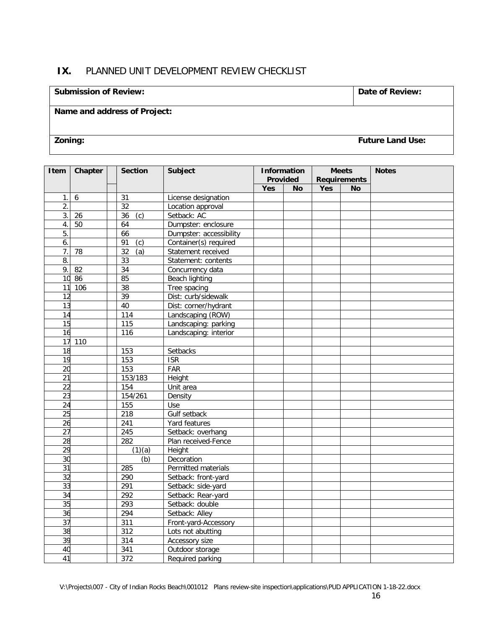## **IX.** PLANNED UNIT DEVELOPMENT REVIEW CHECKLIST

#### **Submission of Review: Date of Review: Date of Review:**

## **Name and address of Project:**

**Zoning: Future Land Use:**

| Item             | Chapter | <b>Section</b>      | <b>Subject</b>          | <b>Information</b><br>Provided |           | <b>Meets</b><br><b>Requirements</b> |    | <b>Notes</b> |
|------------------|---------|---------------------|-------------------------|--------------------------------|-----------|-------------------------------------|----|--------------|
|                  |         |                     |                         | Yes                            | <b>No</b> | Yes                                 | No |              |
| 1.1              | 6       | 31                  | License designation     |                                |           |                                     |    |              |
| 2.               |         | 32                  | Location approval       |                                |           |                                     |    |              |
| 3.               | 26      | 36<br>(c)           | Setback: AC             |                                |           |                                     |    |              |
| $\overline{4}$ . | 50      | 64                  | Dumpster: enclosure     |                                |           |                                     |    |              |
| $\overline{5}$ . |         | 66                  | Dumpster: accessibility |                                |           |                                     |    |              |
| 6.               |         | 91<br>(c)           | Container(s) required   |                                |           |                                     |    |              |
| 7.               | 78      | 32<br>(a)           | Statement received      |                                |           |                                     |    |              |
| 8.               |         | 33                  | Statement: contents     |                                |           |                                     |    |              |
| 9.               | 82      | $\overline{34}$     | Concurrency data        |                                |           |                                     |    |              |
|                  | 10 86   | 85                  | Beach lighting          |                                |           |                                     |    |              |
| 11               | 106     | 38                  | Tree spacing            |                                |           |                                     |    |              |
| 12               |         | 39                  | Dist: curb/sidewalk     |                                |           |                                     |    |              |
| 13               |         | $\overline{40}$     | Dist: corner/hydrant    |                                |           |                                     |    |              |
| 14               |         | 114                 | Landscaping (ROW)       |                                |           |                                     |    |              |
| 15               |         | 115                 | Landscaping: parking    |                                |           |                                     |    |              |
| 16               |         | 116                 | Landscaping: interior   |                                |           |                                     |    |              |
|                  | 17 110  |                     |                         |                                |           |                                     |    |              |
| 18               |         | 153                 | Setbacks                |                                |           |                                     |    |              |
| 19               |         | 153                 | <b>ISR</b>              |                                |           |                                     |    |              |
| 20               |         | 153                 | FAR                     |                                |           |                                     |    |              |
| $\overline{21}$  |         | 153/183             | Height                  |                                |           |                                     |    |              |
| $\overline{22}$  |         | 154                 | Unit area               |                                |           |                                     |    |              |
| 23               |         | 154/261             | Density                 |                                |           |                                     |    |              |
| 24               |         | 155                 | Use                     |                                |           |                                     |    |              |
| 25               |         | 218                 | Gulf setback            |                                |           |                                     |    |              |
| 26               |         | $\overline{241}$    | Yard features           |                                |           |                                     |    |              |
| 27               |         | 245                 | Setback: overhang       |                                |           |                                     |    |              |
| 28               |         | 282                 | Plan received-Fence     |                                |           |                                     |    |              |
| 29               |         | $\overline{(1)(a)}$ | Height                  |                                |           |                                     |    |              |
| 30               |         | (b)                 | Decoration              |                                |           |                                     |    |              |
| 31               |         | 285                 | Permitted materials     |                                |           |                                     |    |              |
| 32               |         | 290                 | Setback: front-yard     |                                |           |                                     |    |              |
| 33               |         | 291                 | Setback: side-yard      |                                |           |                                     |    |              |
| 34               |         | 292                 | Setback: Rear-yard      |                                |           |                                     |    |              |
| 35               |         | 293                 | Setback: double         |                                |           |                                     |    |              |
| 36               |         | 294                 | Setback: Alley          |                                |           |                                     |    |              |
| 37               |         | 311                 | Front-yard-Accessory    |                                |           |                                     |    |              |
| 38               |         | 312                 | Lots not abutting       |                                |           |                                     |    |              |
| 39               |         | 314                 | <b>Accessory size</b>   |                                |           |                                     |    |              |
| 40               |         | 341                 | Outdoor storage         |                                |           |                                     |    |              |
| 41               |         | 372                 | Required parking        |                                |           |                                     |    |              |